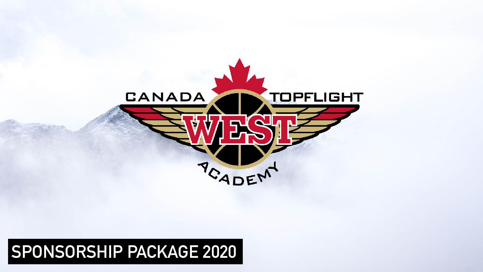#### **SPONSORSHIP PACKAGE 2020**





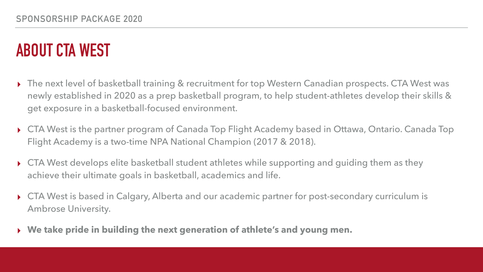### **ABOUT CTA WEST**

▸ The next level of basketball training & recruitment for top Western Canadian prospects. CTA West was newly established in 2020 as a prep basketball program, to help student-athletes develop their skills &

▸ CTA West is the partner program of Canada Top Flight Academy based in Ottawa, Ontario. Canada Top

- get exposure in a basketball-focused environment.
- Flight Academy is a two-time NPA National Champion (2017 & 2018).
- ▸ CTA West develops elite basketball student athletes while supporting and guiding them as they achieve their ultimate goals in basketball, academics and life.
- ▸ CTA West is based in Calgary, Alberta and our academic partner for post-secondary curriculum is Ambrose University.
- ▸ **We take pride in building the next generation of athlete's and young men.**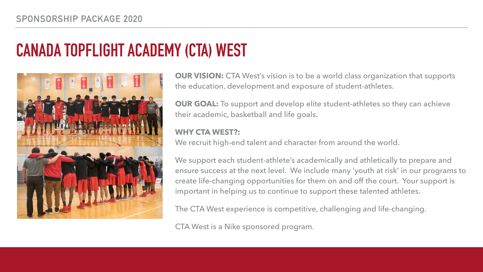## **CANADA TOPFLIGHT ACADEMY (CTA) WEST**



**OUR VISION:** CTA West's vision is to be a world class organization that supports the education, development and exposure of student-athletes.

**OUR GOAL:** To support and develop elite student-athletes so they can achieve their academic, basketball and life goals.

**WHY CTA WEST?:** 

We support each student-athlete's academically and athletically to prepare and ensure success at the next level. We include many 'youth at risk' in our programs to create life-changing opportunities for them on and off the court. Your support is important in helping us to continue to support these talented athletes.

The CTA West experience is competitive, challenging and life-changing.

CTA West is a Nike sponsored program.

We recruit high-end talent and character from around the world.

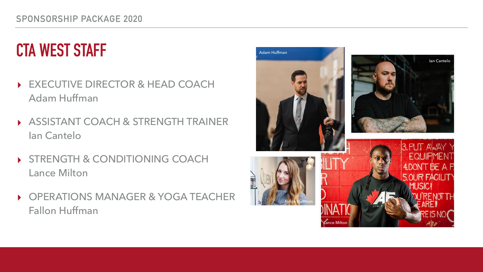#### **CTA WEST STAFF**

- ▸ EXECUTIVE DIRECTOR & HEAD COACH Adam Huffman
- ▸ ASSISTANT COACH & STRENGTH TRAINER Ian Cantelo
- ▸ STRENGTH & CONDITIONING COACH Lance Milton
- ▸ OPERATIONS MANAGER & YOGA TEACHER Fallon Huffman

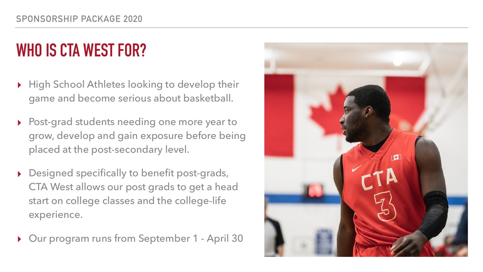#### **WHO IS CTA WEST FOR?**

- game and become serious about basketball.
- ▸ High School Athletes looking to develop their ▸ Post-grad students needing one more year to grow, develop and gain exposure before being placed at the post-secondary level.
- ▸ Designed specifically to benefit post-grads, CTA West allows our post grads to get a head start on college classes and the college-life experience.
- ▸ Our program runs from September 1 April 30

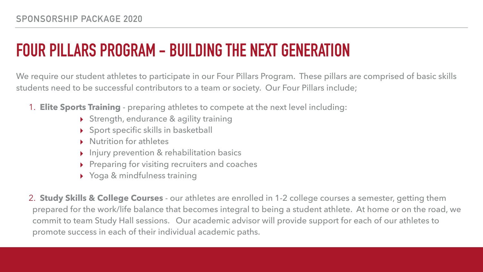## **FOUR PILLARS PROGRAM - BUILDING THE NEXT GENERATION**

We require our student athletes to participate in our Four Pillars Program. These pillars are comprised of basic skills students need to be successful contributors to a team or society. Our Four Pillars include;

- 1. **Elite Sports Training** preparing athletes to compete at the next level including:
	- ▶ Strength, endurance & agility training
	- ▶ Sport specific skills in basketball
	- ▸ Nutrition for athletes
	- ▸ Injury prevention & rehabilitation basics
	- ▶ Preparing for visiting recruiters and coaches
	- ▸ Yoga & mindfulness training

2. **Study Skills & College Courses** - our athletes are enrolled in 1-2 college courses a semester, getting them prepared for the work/life balance that becomes integral to being a student athlete. At home or on the road, we commit to team Study Hall sessions. Our academic advisor will provide support for each of our athletes to promote success in each of their individual academic paths.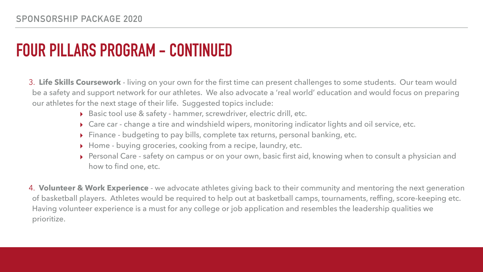### **FOUR PILLARS PROGRAM - CONTINUED**

3. **Life Skills Coursework** - living on your own for the first time can present challenges to some students. Our team would be a safety and support network for our athletes. We also advocate a 'real world' education and would focus on preparing

our athletes for the next stage of their life. Suggested topics include:

- ▶ Basic tool use & safety hammer, screwdriver, electric drill, etc.
- ▸ Care car change a tire and windshield wipers, monitoring indicator lights and oil service, etc.
- ▸ Finance budgeting to pay bills, complete tax returns, personal banking, etc.
- ▸ Home buying groceries, cooking from a recipe, laundry, etc.
- ▸ Personal Care safety on campus or on your own, basic first aid, knowing when to consult a physician and how to find one, etc.
- prioritize.

4. **Volunteer & Work Experience** - we advocate athletes giving back to their community and mentoring the next generation of basketball players. Athletes would be required to help out at basketball camps, tournaments, reffing, score-keeping etc. Having volunteer experience is a must for any college or job application and resembles the leadership qualities we



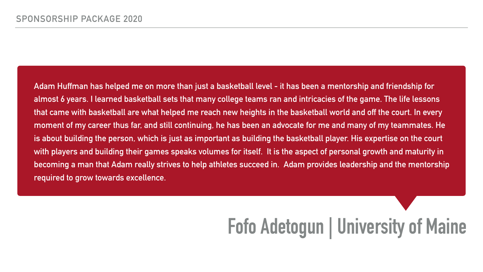**Adam Huffman has helped me on more than just a basketball level - it has been a mentorship and friendship for almost 6 years. I learned basketball sets that many college teams ran and intricacies of the game. The life lessons that came with basketball are what helped me reach new heights in the basketball world and off the court. In every moment of my career thus far, and still continuing, he has been an advocate for me and many of my teammates. He is about building the person, which is just as important as building the basketball player. His expertise on the court with players and building their games speaks volumes for itself. It is the aspect of personal growth and maturity in becoming a man that Adam really strives to help athletes succeed in. Adam provides leadership and the mentorship required to grow towards excellence.** 

# **Fofo Adetogun | University of Maine**



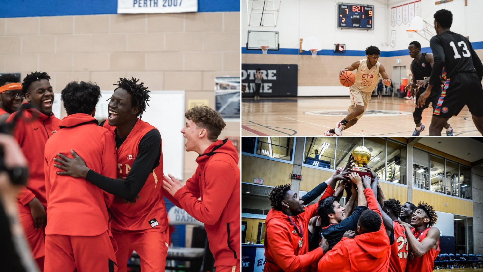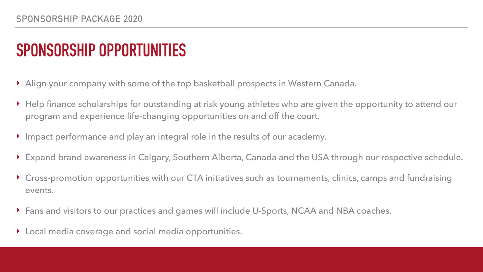### **SPONSORSHIP OPPORTUNITIES**

- ‣ Align your company with some of the top basketball prospects in Western Canada.
- program and experience life-changing opportunities on and off the court.
- ‣ Impact performance and play an integral role in the results of our academy.
- 
- events.
- ‣ Fans and visitors to our practices and games will include U-Sports, NCAA and NBA coaches.
- ‣ Local media coverage and social media opportunities.

‣ Expand brand awareness in Calgary, Southern Alberta, Canada and the USA through our respective schedule.

▶ Cross-promotion opportunities with our CTA initiatives such as tournaments, clinics, camps and fundraising

‣

▶ Help finance scholarships for outstanding at risk young athletes who are given the opportunity to attend our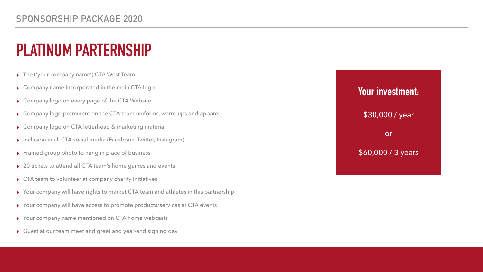#### **SPONSORSHIP PACKAGE 2020**

#### **PLATINUM PARTERNSHIP**

- ▶ The ('your company name') CTA West Team
- ▸ Company name incorporated in the main CTA logo
- ▸ Company logo on every page of the CTA Website
- ▸ Company logo prominent on the CTA team uniforms, warm-ups and apparel
- ◆ Company logo on CTA letterhead & marketing material
- ▶ Inclusion in all CTA social media (Facebook, Twitter, Instagram)
- ▸ Framed group photo to hang in place of business
- ◆ 20 tickets to attend all CTA team's home games and events
- ▸ CTA team to volunteer at company charity initiatives
- ▶ Your company will have rights to market CTA team and athletes in this partnership
- ▸ Your company will have access to promote products/services at CTA events
- ▸ Your company name mentioned on CTA home webcasts
- ▸ Guest at our team meet and greet and year-end signing day

**Your investment:** 

\$30,000 / year

or

\$60,000 / 3 years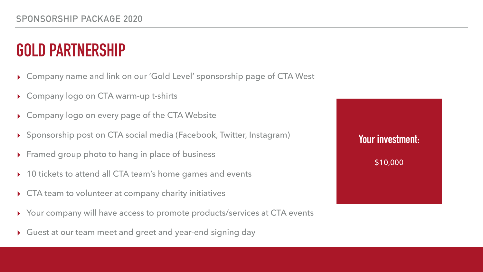#### **GOLD PARTNERSHIP**

- ▸ Company name and link on our 'Gold Level' sponsorship page of CTA West
- ▸ Company logo on CTA warm-up t-shirts
- ▸ Company logo on every page of the CTA Website
- ▶ Sponsorship post on CTA social media (Facebook, Twitter, Instagram)
- ▸ Framed group photo to hang in place of business
- ▸ 10 tickets to attend all CTA team's home games and events
- ▸ CTA team to volunteer at company charity initiatives
- ▸ Your company will have access to promote products/services at CTA events
- ▸ Guest at our team meet and greet and year-end signing day

**Your investment:**  \$10,000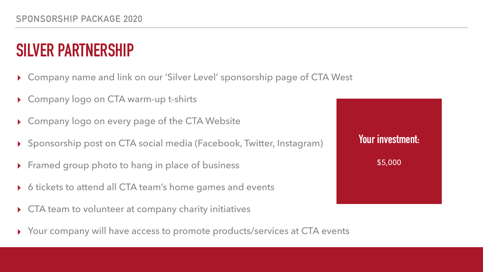#### **SILVER PARTNERSHIP**

- ▸ Company name and link on our 'Silver Level' sponsorship page of CTA West
- ▸ Company logo on CTA warm-up t-shirts
- ▸ Company logo on every page of the CTA Website
- ▸ Sponsorship post on CTA social media (Facebook, Twitter, Instagram)
- ▸ Framed group photo to hang in place of business
- ▸ 6 tickets to attend all CTA team's home games and events
- ▸ CTA team to volunteer at company charity initiatives
- ▸ Your company will have access to promote products/services at CTA events

**Your investment:**  \$5,000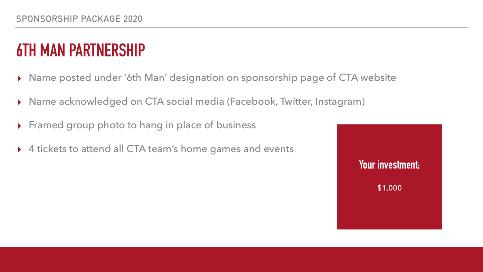#### **6TH MAN PARTNERSHIP**

- ▸ Name posted under '6th Man' designation on sponsorship page of CTA website
- ▸ Name acknowledged on CTA social media (Facebook, Twitter, Instagram)
- ▸ Framed group photo to hang in place of business
- ▸ 4 tickets to attend all CTA team's home games and events

**Your investment:** 

\$1,000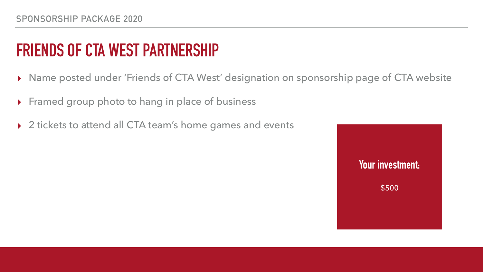### **FRIENDS OF CTA WEST PARTNERSHIP**

#### ▸ Name posted under 'Friends of CTA West' designation on sponsorship page of CTA website

- 
- ▸ Framed group photo to hang in place of business
- ▸ 2 tickets to attend all CTA team's home games and events

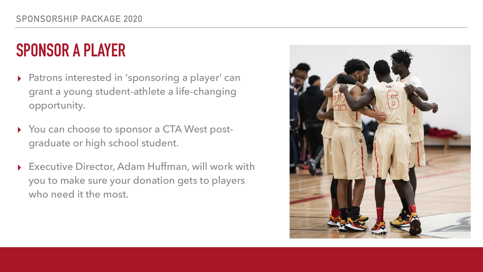### **SPONSOR A PLAYER**

- ▸ Patrons interested in 'sponsoring a player' can grant a young student-athlete a life-changing opportunity.
- ▸ You can choose to sponsor a CTA West postgraduate or high school student.
- ▸ Executive Director, Adam Huffman, will work with you to make sure your donation gets to players who need it the most.

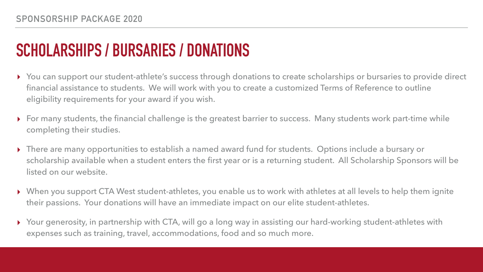### **SCHOLARSHIPS / BURSARIES / DONATIONS**

▸ You can support our student-athlete's success through donations to create scholarships or bursaries to provide direct financial assistance to students. We will work with you to create a customized Terms of Reference to outline

▸ For many students, the financial challenge is the greatest barrier to success. Many students work part-time while

scholarship available when a student enters the first year or is a returning student. All Scholarship Sponsors will be

- eligibility requirements for your award if you wish.
- completing their studies.
- ▸ There are many opportunities to establish a named award fund for students. Options include a bursary or listed on our website.
- their passions. Your donations will have an immediate impact on our elite student-athletes.
- expenses such as training, travel, accommodations, food and so much more.

▸ When you support CTA West student-athletes, you enable us to work with athletes at all levels to help them ignite

▸ Your generosity, in partnership with CTA, will go a long way in assisting our hard-working student-athletes with

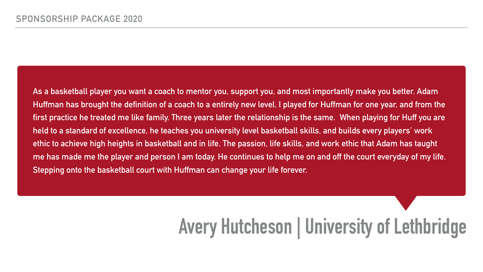**As a basketball player you want a coach to mentor you, support you, and most importantly make you better. Adam Stepping onto the basketball court with Huffman can change your life forever.**



#### **Huffman has brought the definition of a coach to a entirely new level. I played for Huffman for one year, and from the first practice he treated me like family. Three years later the relationship is the same. When playing for Huff you are held to a standard of excellence, he teaches you university level basketball skills, and builds every players' work ethic to achieve high heights in basketball and in life. The passion, life skills, and work ethic that Adam has taught me has made me the player and person I am today. He continues to help me on and off the court everyday of my life.**

# **Avery Hutcheson | University of Lethbridge**



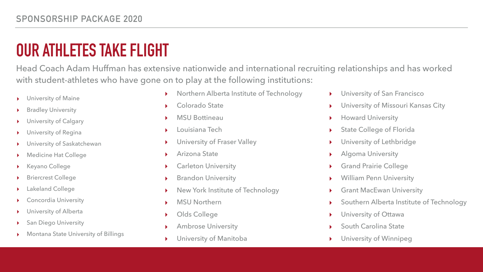### **OUR ATHLETES TAKE FLIGHT**

## Head Coach Adam Huffman has extensive nationwide and international recruiting relationships and has worked

with student-athletes who have gone on to play at the following institutions:

- University of Maine
- **Bradley University**
- **University of Calgary**
- University of Regina
- University of Saskatchewan
- Medicine Hat College
- ▸ Keyano College
- **Briercrest College**
- Lakeland College
- **Concordia University**
- University of Alberta
- **San Diego University**
- **Montana State University of Billings**
- 
- Colorado State
- **MSU Bottineau**
- Louisiana Tech
- University of Fraser Valley
- Arizona State
- **Carleton University**
- **Brandon University**
- 
- **MSU Northern**
- Olds College
- **Ambrose University**
- University of Manitoba

▸ Northern Alberta Institute of Technology

New York Institute of Technology

- University of San Francisco
- University of Missouri Kansas City
- **Howard University**
- **State College of Florida**
- University of Lethbridge
- **Algoma University**
- **Grand Prairie College**
- **William Penn University**
- **Grant MacEwan University**
- Southern Alberta Institute of Technology
- University of Ottawa
- **South Carolina State**
- University of Winnipeg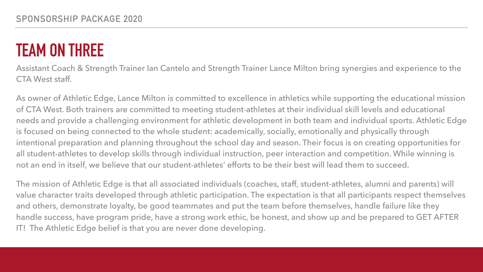### **TEAM ON THREE**

Assistant Coach & Strength Trainer Ian Cantelo and Strength Trainer Lance Milton bring synergies and experience to the CTA West staff.

As owner of Athletic Edge, Lance Milton is committed to excellence in athletics while supporting the educational mission of CTA West. Both trainers are committed to meeting student-athletes at their individual skill levels and educational needs and provide a challenging environment for athletic development in both team and individual sports. Athletic Edge is focused on being connected to the whole student: academically, socially, emotionally and physically through intentional preparation and planning throughout the school day and season. Their focus is on creating opportunities for all student-athletes to develop skills through individual instruction, peer interaction and competition. While winning is not an end in itself, we believe that our student-athletes' efforts to be their best will lead them to succeed.

The mission of Athletic Edge is that all associated individuals (coaches, staff, student-athletes, alumni and parents) will value character traits developed through athletic participation. The expectation is that all participants respect themselves and others, demonstrate loyalty, be good teammates and put the team before themselves, handle failure like they handle success, have program pride, have a strong work ethic, be honest, and show up and be prepared to GET AFTER IT! The Athletic Edge belief is that you are never done developing.